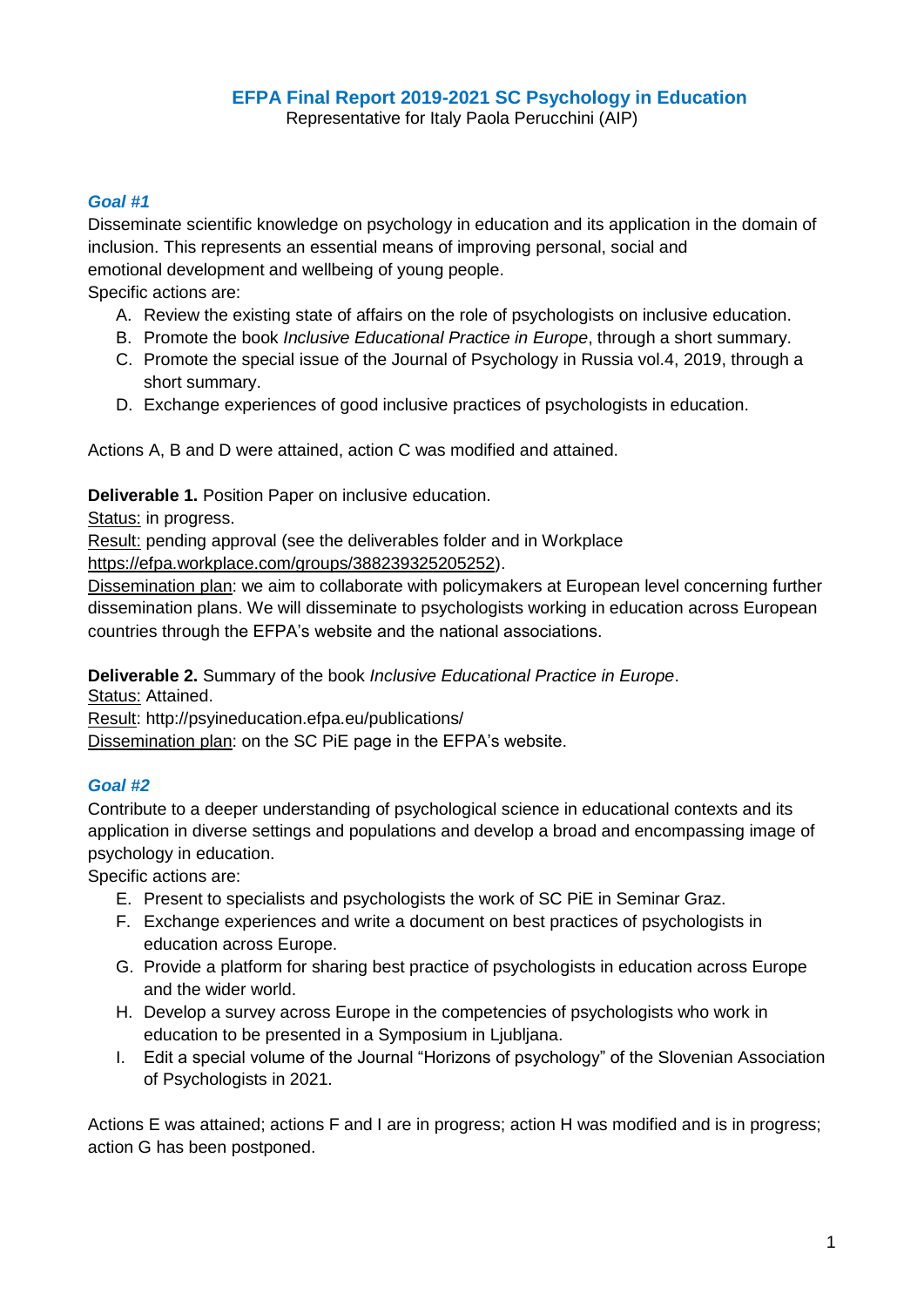## **EFPA Final Report 2019-2021 SC Psychology in Education**

Representative for Italy Paola Perucchini (AIP)

## *Goal #1*

Disseminate scientific knowledge on psychology in education and its application in the domain of inclusion. This represents an essential means of improving personal, social and emotional development and wellbeing of young people.

Specific actions are:

- A. Review the existing state of affairs on the role of psychologists on inclusive education.
- B. Promote the book *Inclusive Educational Practice in Europe*, through a short summary.
- C. Promote the special issue of the Journal of Psychology in Russia vol.4, 2019, through a short summary.
- D. Exchange experiences of good inclusive practices of psychologists in education.

Actions A, B and D were attained, action C was modified and attained.

**Deliverable 1.** Position Paper on inclusive education.

Status: in progress.

Result: pending approval (see the deliverables folder and in Workplace

[https://efpa.workplace.com/groups/388239325205252\)](https://efpa.workplace.com/groups/388239325205252).

Dissemination plan: we aim to collaborate with policymakers at European level concerning further dissemination plans. We will disseminate to psychologists working in education across European countries through the EFPA's website and the national associations.

**Deliverable 2.** Summary of the book *Inclusive Educational Practice in Europe*.

Status: Attained.

Result: http://psyineducation.efpa.eu/publications/

Dissemination plan: on the SC PiE page in the EFPA's website.

## *Goal #2*

Contribute to a deeper understanding of psychological science in educational contexts and its application in diverse settings and populations and develop a broad and encompassing image of psychology in education.

Specific actions are:

- E. Present to specialists and psychologists the work of SC PiE in Seminar Graz.
- F. Exchange experiences and write a document on best practices of psychologists in education across Europe.
- G. Provide a platform for sharing best practice of psychologists in education across Europe and the wider world.
- H. Develop a survey across Europe in the competencies of psychologists who work in education to be presented in a Symposium in Ljubljana.
- I. Edit a special volume of the Journal "Horizons of psychology" of the Slovenian Association of Psychologists in 2021.

Actions E was attained; actions F and I are in progress; action H was modified and is in progress; action G has been postponed.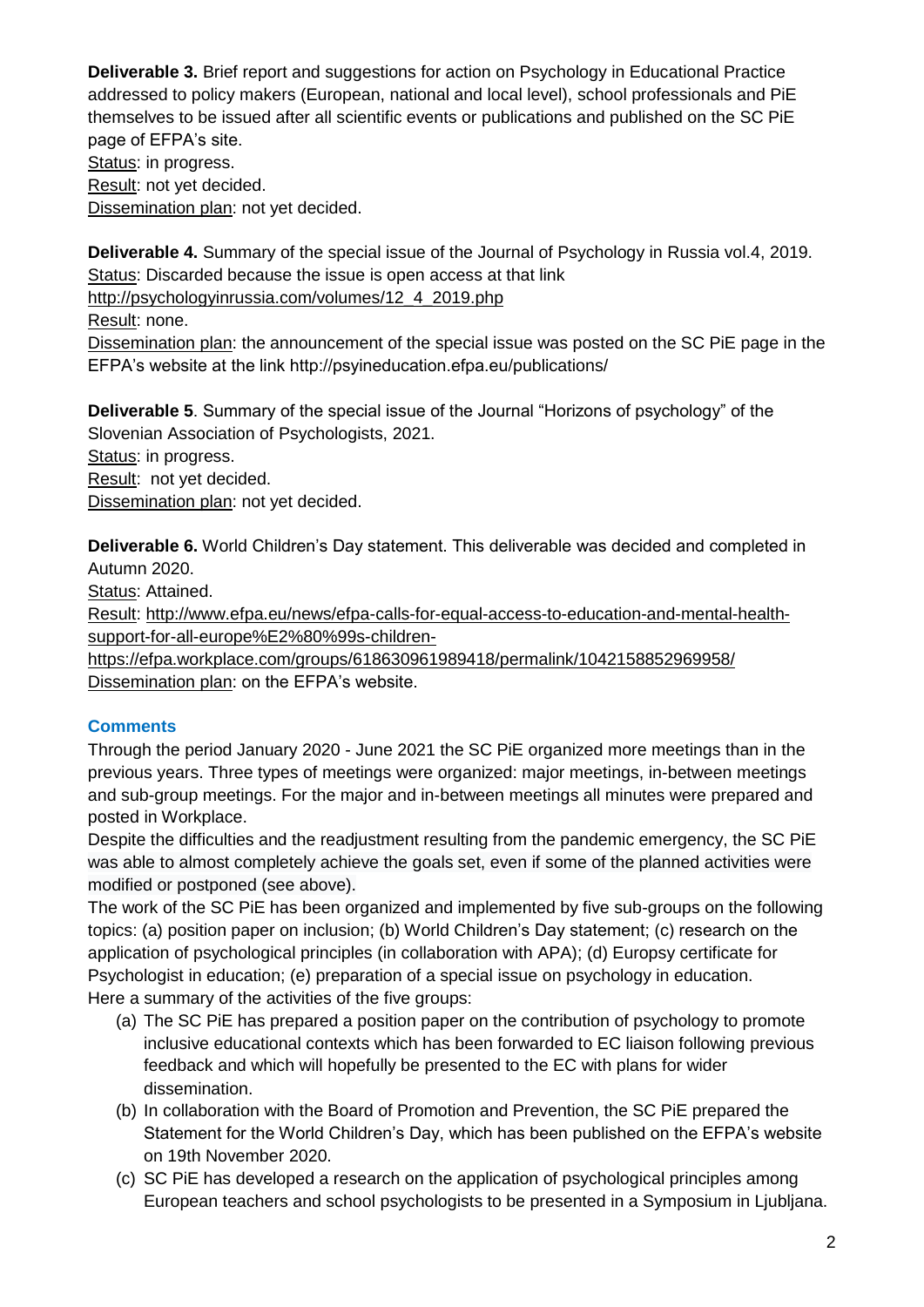**Deliverable 3.** Brief report and suggestions for action on Psychology in Educational Practice addressed to policy makers (European, national and local level), school professionals and PiE themselves to be issued after all scientific events or publications and published on the SC PiE page of EFPA's site.

Status: in progress. Result: not yet decided. Dissemination plan: not yet decided.

**Deliverable 4.** Summary of the special issue of the Journal of Psychology in Russia vol.4, 2019. Status: Discarded because the issue is open access at that link

[http://psychologyinrussia.com/volumes/12\\_4\\_2019.php](http://psychologyinrussia.com/volumes/12_4_2019.php)

Result: none.

Dissemination plan: the announcement of the special issue was posted on the SC PiE page in the EFPA's website at the link http://psyineducation.efpa.eu/publications/

**Deliverable 5**. Summary of the special issue of the Journal "Horizons of psychology" of the Slovenian Association of Psychologists, 2021.

Status: in progress.

Result: not yet decided.

Dissemination plan: not yet decided.

**Deliverable 6.** World Children's Day statement. This deliverable was decided and completed in Autumn 2020.

Status: Attained.

Result: [http://www.efpa.eu/news/efpa-calls-for-equal-access-to-education-and-mental-health](http://www.efpa.eu/news/efpa-calls-for-equal-access-to-education-and-mental-health-support-for-all-europe%E2%80%99s-children-)[support-for-all-europe%E2%80%99s-children-](http://www.efpa.eu/news/efpa-calls-for-equal-access-to-education-and-mental-health-support-for-all-europe%E2%80%99s-children-)

<https://efpa.workplace.com/groups/618630961989418/permalink/1042158852969958/> Dissemination plan: on the EFPA's website.

## **Comments**

Through the period January 2020 - June 2021 the SC PiE organized more meetings than in the previous years. Three types of meetings were organized: major meetings, in-between meetings and sub-group meetings. For the major and in-between meetings all minutes were prepared and posted in Workplace.

Despite the difficulties and the readjustment resulting from the pandemic emergency, the SC PiE was able to almost completely achieve the goals set, even if some of the planned activities were modified or postponed (see above).

The work of the SC PiE has been organized and implemented by five sub-groups on the following topics: (a) position paper on inclusion; (b) World Children's Day statement; (c) research on the application of psychological principles (in collaboration with APA); (d) Europsy certificate for Psychologist in education; (e) preparation of a special issue on psychology in education. Here a summary of the activities of the five groups:

- (a) The SC PiE has prepared a position paper on the contribution of psychology to promote inclusive educational contexts which has been forwarded to EC liaison following previous feedback and which will hopefully be presented to the EC with plans for wider dissemination.
- (b) In collaboration with the Board of Promotion and Prevention, the SC PiE prepared the Statement for the World Children's Day, which has been published on the EFPA's website on 19th November 2020.
- (c) SC PiE has developed a research on the application of psychological principles among European teachers and school psychologists to be presented in a Symposium in Ljubljana.